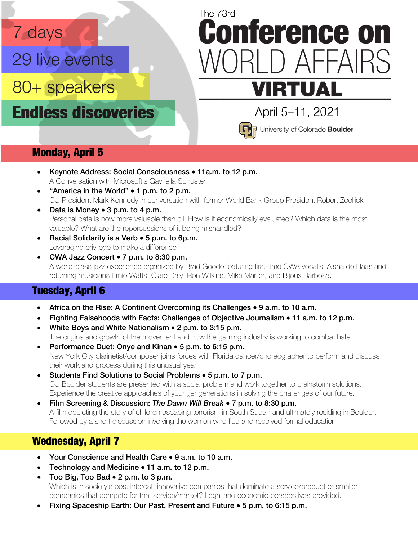# 7 days

29 live events

80+ speakers

**Endless discoveries** 

# The 73rd **Conference on** ) AFFAIRS **VIRTUAL**



April 5-11, 2021 University of Colorado Boulder

#### Monday, April 5

- Keynote Address: Social Consciousness 11a.m. to 12 p.m. A Conversation with Microsoft's Gavriella Schuster
- "America in the World" 1 p.m. to 2 p.m. CU President Mark Kennedy in conversation with former World Bank Group President Robert Zoellick
- Data is Money 3 p.m. to 4 p.m. Personal data is now more valuable than oil. How is it economically evaluated? Which data is the most valuable? What are the repercussions of it being mishandled?
- Racial Solidarity is a Verb 5 p.m. to 6p.m. Leveraging privilege to make a difference
- CWA Jazz Concert 7 p.m. to 8:30 p.m. A world-class jazz experience organized by Brad Goode featuring first-time CWA vocalist Aisha de Haas and returning musicians Ernie Watts, Clare Daly, Ron Wilkins, Mike Marlier, and Bijoux Barbosa.

#### Tuesday, April 6

- Africa on the Rise: A Continent Overcoming its Challenges 9 a.m. to 10 a.m.
- Fighting Falsehoods with Facts: Challenges of Objective Journalism 11 a.m. to 12 p.m.
- White Boys and White Nationalism 2 p.m. to 3:15 p.m. The origins and growth of the movement and how the gaming industry is working to combat hate
- Performance Duet: Onye and Kinan 5 p.m. to 6:15 p.m. New York City clarinetist/composer joins forces with Florida dancer/choreographer to perform and discuss their work and process during this unusual year
- Students Find Solutions to Social Problems 5 p.m. to 7 p.m. CU Boulder students are presented with a social problem and work together to brainstorm solutions. Experience the creative approaches of younger generations in solving the challenges of our future.
- Film Screening & Discussion: *The Dawn Will Break* 7 p.m. to 8:30 p.m. A film depicting the story of children escaping terrorism in South Sudan and ultimately residing in Boulder. Followed by a short discussion involving the women who fled and received formal education.

#### Wednesday, April 7

- Your Conscience and Health Care 9 a.m. to 10 a.m.
- Technology and Medicine 11 a.m. to 12 p.m.
- Too Big, Too Bad 2 p.m. to 3 p.m. Which is in society's best interest, innovative companies that dominate a service/product or smaller companies that compete for that service/market? Legal and economic perspectives provided.
- Fixing Spaceship Earth: Our Past, Present and Future 5 p.m. to 6:15 p.m.